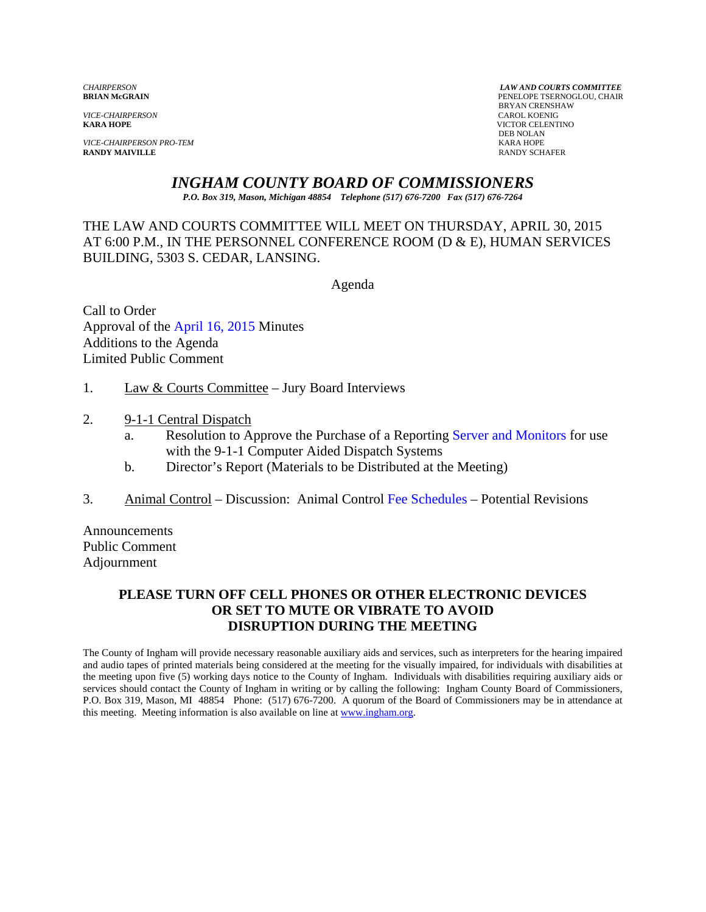*VICE-CHAIRPERSON*<br>**KARA HOPE** 

*VICE-CHAIRPERSON PRO-TEM* KARA HOPE **RANDY MAIVILLE** 

*CHAIRPERSON LAW AND COURTS COMMITTEE* PENELOPE TSERNOGLOU, CHAIR **BRYAN CRENSHAW**<br>CAROL KOENIG **KICTOR CELENTINO**<br>DEB NOLAN DEB NOLAN

# *INGHAM COUNTY BOARD OF COMMISSIONERS*

*P.O. Box 319, Mason, Michigan 48854 Telephone (517) 676-7200 Fax (517) 676-7264*

THE LAW AND COURTS COMMITTEE WILL MEET ON THURSDAY, APRIL 30, 2015 AT 6:00 P.M., IN THE PERSONNEL CONFERENCE ROOM (D & E), HUMAN SERVICES BUILDING, 5303 S. CEDAR, LANSING.

Agenda

Call to Order Approval o[f the April 16, 2015 Minutes](#page-1-0)  Additions to the Agenda Limited Public Comment

- 1. Law & Courts Committee Jury Board Interviews
- 2. 9-1-1 Central Dispatch
	- a. Resolution to Approve the Purchase of a Report[ing Server and Monitors for use](#page-7-0)  with the 9-1-1 Computer Aided Dispatch Systems
	- b. Director's Report (Materials to be Distributed at the Meeting)
- 3. Animal Control Discussion: Animal C[ontrol Fee Schedules Potential Re](#page-9-0)visions

Announcements Public Comment Adjournment

## **PLEASE TURN OFF CELL PHONES OR OTHER ELECTRONIC DEVICES OR SET TO MUTE OR VIBRATE TO AVOID DISRUPTION DURING THE MEETING**

The County of Ingham will provide necessary reasonable auxiliary aids and services, such as interpreters for the hearing impaired and audio tapes of printed materials being considered at the meeting for the visually impaired, for individuals with disabilities at the meeting upon five (5) working days notice to the County of Ingham. Individuals with disabilities requiring auxiliary aids or services should contact the County of Ingham in writing or by calling the following: Ingham County Board of Commissioners, P.O. Box 319, Mason, MI 48854 Phone: (517) 676-7200. A quorum of the Board of Commissioners may be in attendance at this meeting. Meeting information is also available on line at www.ingham.org.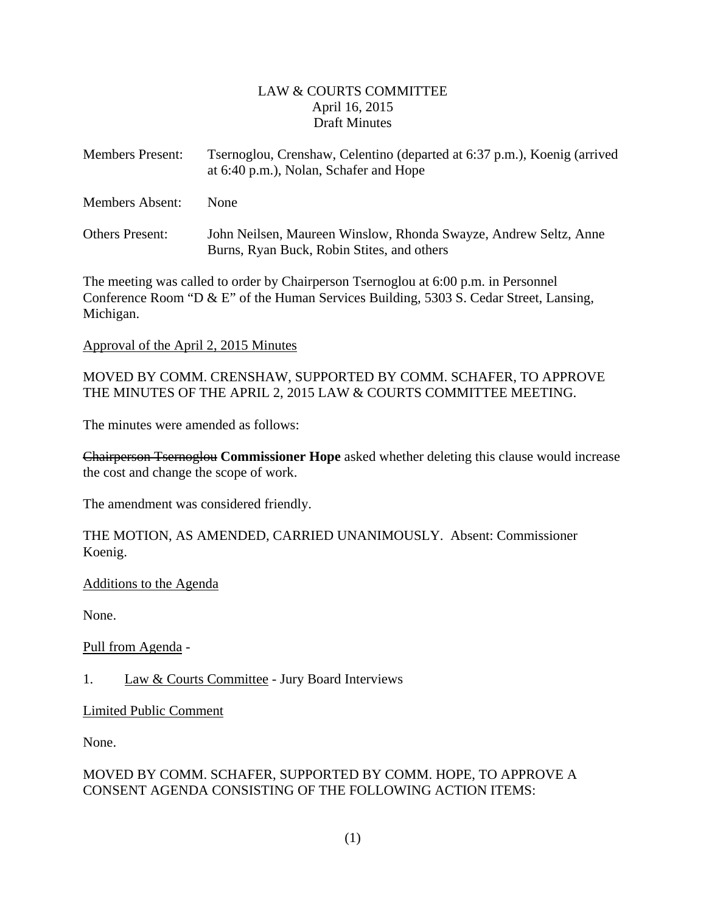# LAW & COURTS COMMITTEE April 16, 2015 Draft Minutes

<span id="page-1-0"></span>

| <b>Members Present:</b> | Tsernoglou, Crenshaw, Celentino (departed at 6:37 p.m.), Koenig (arrived<br>at 6:40 p.m.), Nolan, Schafer and Hope |
|-------------------------|--------------------------------------------------------------------------------------------------------------------|
| <b>Members Absent:</b>  | <b>None</b>                                                                                                        |
| <b>Others Present:</b>  | John Neilsen, Maureen Winslow, Rhonda Swayze, Andrew Seltz, Anne<br>Burns, Ryan Buck, Robin Stites, and others     |

The meeting was called to order by Chairperson Tsernoglou at 6:00 p.m. in Personnel Conference Room "D & E" of the Human Services Building, 5303 S. Cedar Street, Lansing, Michigan.

#### Approval of the April 2, 2015 Minutes

MOVED BY COMM. CRENSHAW, SUPPORTED BY COMM. SCHAFER, TO APPROVE THE MINUTES OF THE APRIL 2, 2015 LAW & COURTS COMMITTEE MEETING.

The minutes were amended as follows:

Chairperson Tsernoglou **Commissioner Hope** asked whether deleting this clause would increase the cost and change the scope of work.

The amendment was considered friendly.

THE MOTION, AS AMENDED, CARRIED UNANIMOUSLY. Absent: Commissioner Koenig.

#### Additions to the Agenda

None.

Pull from Agenda -

# 1. Law & Courts Committee - Jury Board Interviews

Limited Public Comment

None.

# MOVED BY COMM. SCHAFER, SUPPORTED BY COMM. HOPE, TO APPROVE A CONSENT AGENDA CONSISTING OF THE FOLLOWING ACTION ITEMS: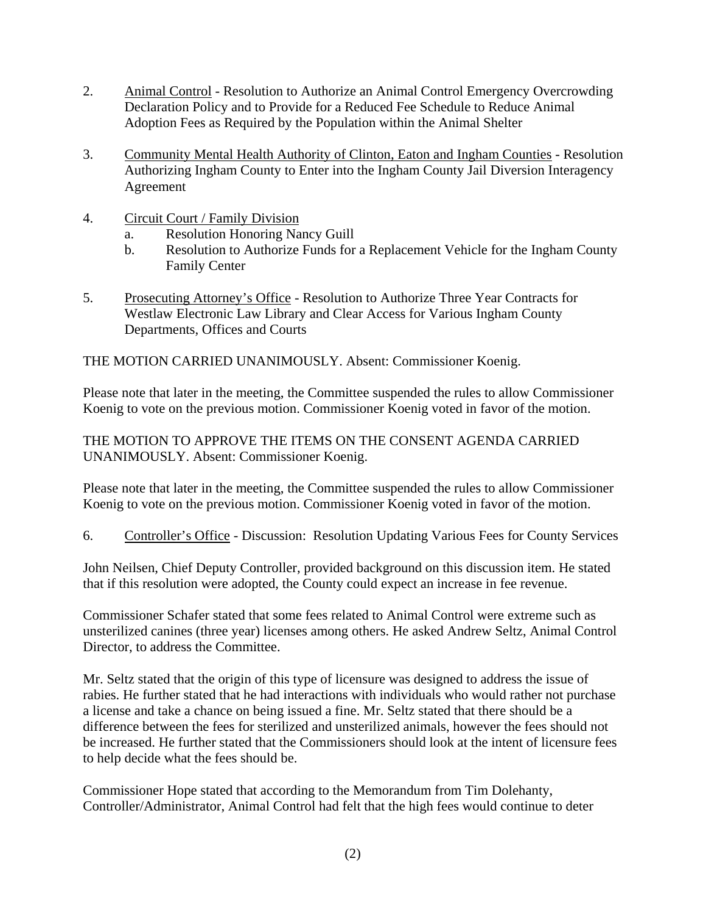- 2. Animal Control Resolution to Authorize an Animal Control Emergency Overcrowding Declaration Policy and to Provide for a Reduced Fee Schedule to Reduce Animal Adoption Fees as Required by the Population within the Animal Shelter
- 3. Community Mental Health Authority of Clinton, Eaton and Ingham Counties Resolution Authorizing Ingham County to Enter into the Ingham County Jail Diversion Interagency Agreement
- 4. Circuit Court / Family Division
	- a. Resolution Honoring Nancy Guill
	- b. Resolution to Authorize Funds for a Replacement Vehicle for the Ingham County Family Center
- 5. Prosecuting Attorney's Office Resolution to Authorize Three Year Contracts for Westlaw Electronic Law Library and Clear Access for Various Ingham County Departments, Offices and Courts

THE MOTION CARRIED UNANIMOUSLY. Absent: Commissioner Koenig.

Please note that later in the meeting, the Committee suspended the rules to allow Commissioner Koenig to vote on the previous motion. Commissioner Koenig voted in favor of the motion.

THE MOTION TO APPROVE THE ITEMS ON THE CONSENT AGENDA CARRIED UNANIMOUSLY. Absent: Commissioner Koenig.

Please note that later in the meeting, the Committee suspended the rules to allow Commissioner Koenig to vote on the previous motion. Commissioner Koenig voted in favor of the motion.

6. Controller's Office - Discussion: Resolution Updating Various Fees for County Services

John Neilsen, Chief Deputy Controller, provided background on this discussion item. He stated that if this resolution were adopted, the County could expect an increase in fee revenue.

Commissioner Schafer stated that some fees related to Animal Control were extreme such as unsterilized canines (three year) licenses among others. He asked Andrew Seltz, Animal Control Director, to address the Committee.

Mr. Seltz stated that the origin of this type of licensure was designed to address the issue of rabies. He further stated that he had interactions with individuals who would rather not purchase a license and take a chance on being issued a fine. Mr. Seltz stated that there should be a difference between the fees for sterilized and unsterilized animals, however the fees should not be increased. He further stated that the Commissioners should look at the intent of licensure fees to help decide what the fees should be.

Commissioner Hope stated that according to the Memorandum from Tim Dolehanty, Controller/Administrator, Animal Control had felt that the high fees would continue to deter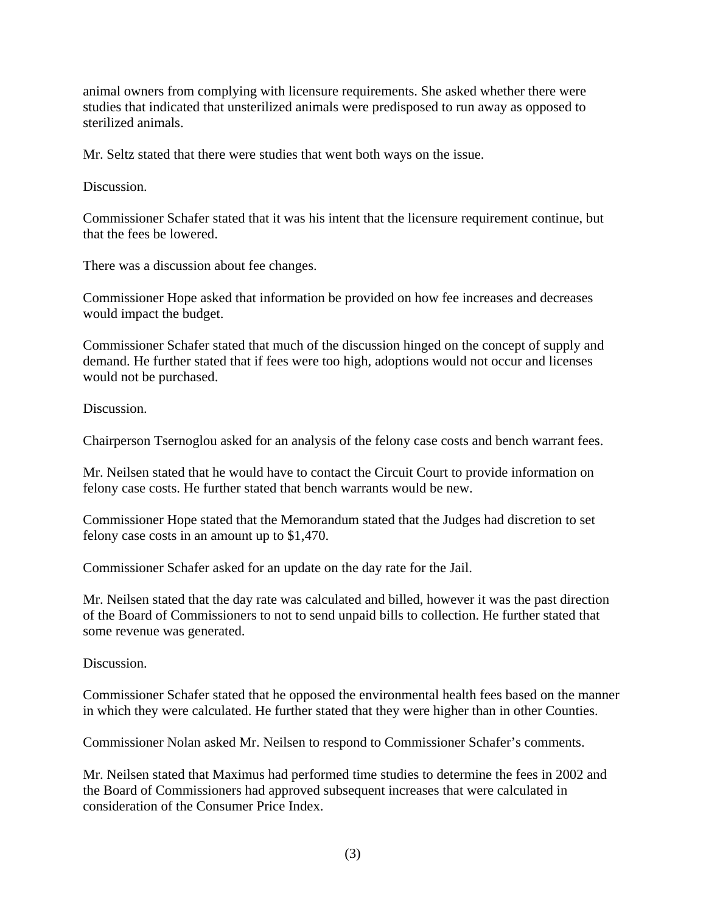animal owners from complying with licensure requirements. She asked whether there were studies that indicated that unsterilized animals were predisposed to run away as opposed to sterilized animals.

Mr. Seltz stated that there were studies that went both ways on the issue.

Discussion.

Commissioner Schafer stated that it was his intent that the licensure requirement continue, but that the fees be lowered.

There was a discussion about fee changes.

Commissioner Hope asked that information be provided on how fee increases and decreases would impact the budget.

Commissioner Schafer stated that much of the discussion hinged on the concept of supply and demand. He further stated that if fees were too high, adoptions would not occur and licenses would not be purchased.

Discussion.

Chairperson Tsernoglou asked for an analysis of the felony case costs and bench warrant fees.

Mr. Neilsen stated that he would have to contact the Circuit Court to provide information on felony case costs. He further stated that bench warrants would be new.

Commissioner Hope stated that the Memorandum stated that the Judges had discretion to set felony case costs in an amount up to \$1,470.

Commissioner Schafer asked for an update on the day rate for the Jail.

Mr. Neilsen stated that the day rate was calculated and billed, however it was the past direction of the Board of Commissioners to not to send unpaid bills to collection. He further stated that some revenue was generated.

Discussion.

Commissioner Schafer stated that he opposed the environmental health fees based on the manner in which they were calculated. He further stated that they were higher than in other Counties.

Commissioner Nolan asked Mr. Neilsen to respond to Commissioner Schafer's comments.

Mr. Neilsen stated that Maximus had performed time studies to determine the fees in 2002 and the Board of Commissioners had approved subsequent increases that were calculated in consideration of the Consumer Price Index.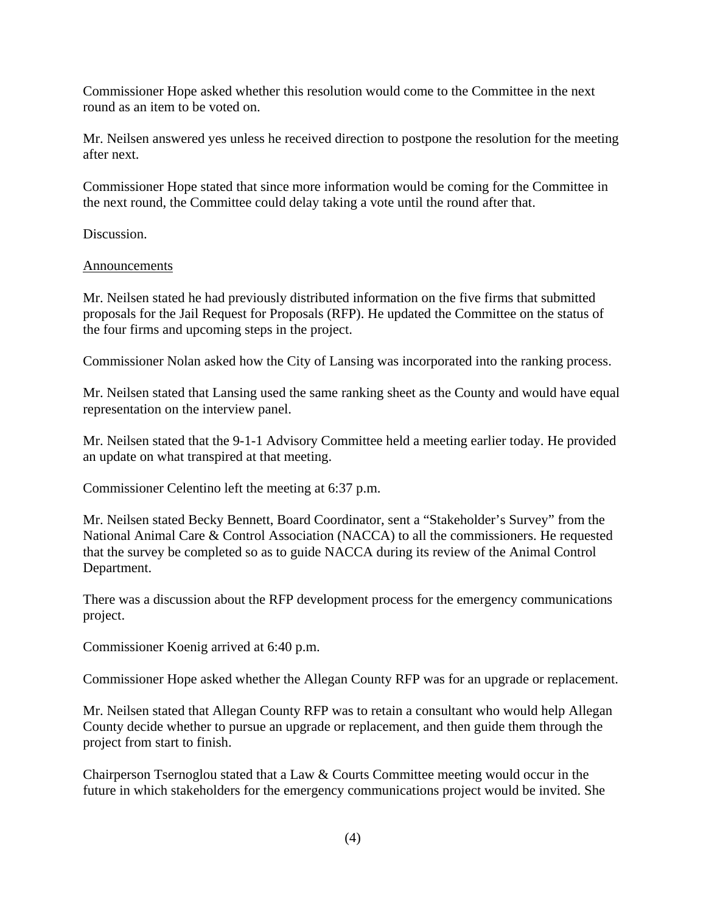Commissioner Hope asked whether this resolution would come to the Committee in the next round as an item to be voted on.

Mr. Neilsen answered yes unless he received direction to postpone the resolution for the meeting after next.

Commissioner Hope stated that since more information would be coming for the Committee in the next round, the Committee could delay taking a vote until the round after that.

Discussion.

#### Announcements

Mr. Neilsen stated he had previously distributed information on the five firms that submitted proposals for the Jail Request for Proposals (RFP). He updated the Committee on the status of the four firms and upcoming steps in the project.

Commissioner Nolan asked how the City of Lansing was incorporated into the ranking process.

Mr. Neilsen stated that Lansing used the same ranking sheet as the County and would have equal representation on the interview panel.

Mr. Neilsen stated that the 9-1-1 Advisory Committee held a meeting earlier today. He provided an update on what transpired at that meeting.

Commissioner Celentino left the meeting at 6:37 p.m.

Mr. Neilsen stated Becky Bennett, Board Coordinator, sent a "Stakeholder's Survey" from the National Animal Care & Control Association (NACCA) to all the commissioners. He requested that the survey be completed so as to guide NACCA during its review of the Animal Control Department.

There was a discussion about the RFP development process for the emergency communications project.

Commissioner Koenig arrived at 6:40 p.m.

Commissioner Hope asked whether the Allegan County RFP was for an upgrade or replacement.

Mr. Neilsen stated that Allegan County RFP was to retain a consultant who would help Allegan County decide whether to pursue an upgrade or replacement, and then guide them through the project from start to finish.

Chairperson Tsernoglou stated that a Law & Courts Committee meeting would occur in the future in which stakeholders for the emergency communications project would be invited. She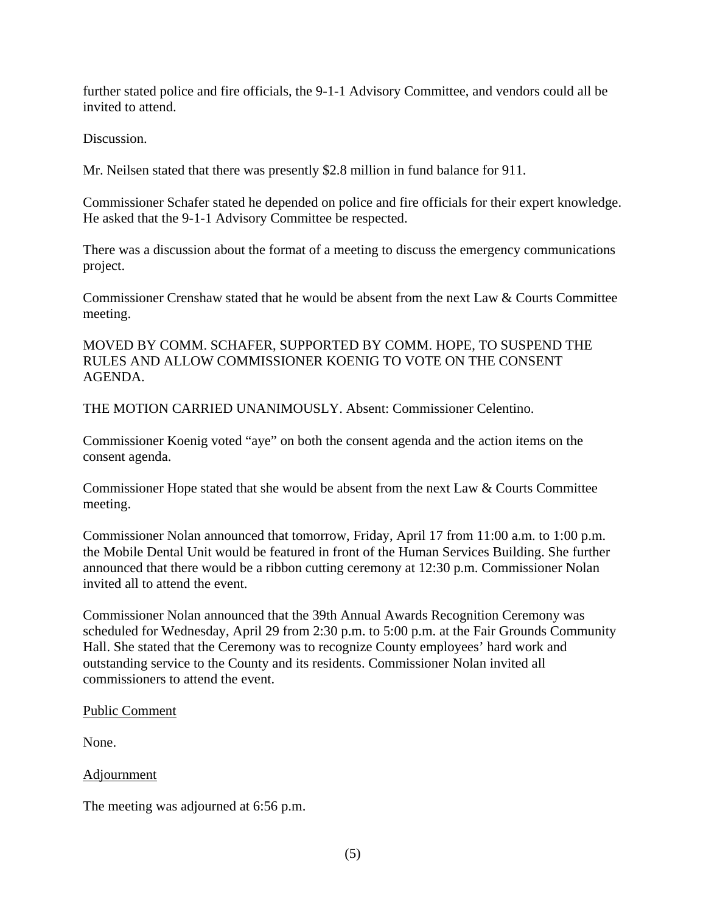further stated police and fire officials, the 9-1-1 Advisory Committee, and vendors could all be invited to attend.

Discussion.

Mr. Neilsen stated that there was presently \$2.8 million in fund balance for 911.

Commissioner Schafer stated he depended on police and fire officials for their expert knowledge. He asked that the 9-1-1 Advisory Committee be respected.

There was a discussion about the format of a meeting to discuss the emergency communications project.

Commissioner Crenshaw stated that he would be absent from the next Law & Courts Committee meeting.

MOVED BY COMM. SCHAFER, SUPPORTED BY COMM. HOPE, TO SUSPEND THE RULES AND ALLOW COMMISSIONER KOENIG TO VOTE ON THE CONSENT AGENDA.

THE MOTION CARRIED UNANIMOUSLY. Absent: Commissioner Celentino.

Commissioner Koenig voted "aye" on both the consent agenda and the action items on the consent agenda.

Commissioner Hope stated that she would be absent from the next Law & Courts Committee meeting.

Commissioner Nolan announced that tomorrow, Friday, April 17 from 11:00 a.m. to 1:00 p.m. the Mobile Dental Unit would be featured in front of the Human Services Building. She further announced that there would be a ribbon cutting ceremony at 12:30 p.m. Commissioner Nolan invited all to attend the event.

Commissioner Nolan announced that the 39th Annual Awards Recognition Ceremony was scheduled for Wednesday, April 29 from 2:30 p.m. to 5:00 p.m. at the Fair Grounds Community Hall. She stated that the Ceremony was to recognize County employees' hard work and outstanding service to the County and its residents. Commissioner Nolan invited all commissioners to attend the event.

#### Public Comment

None.

#### Adjournment

The meeting was adjourned at 6:56 p.m.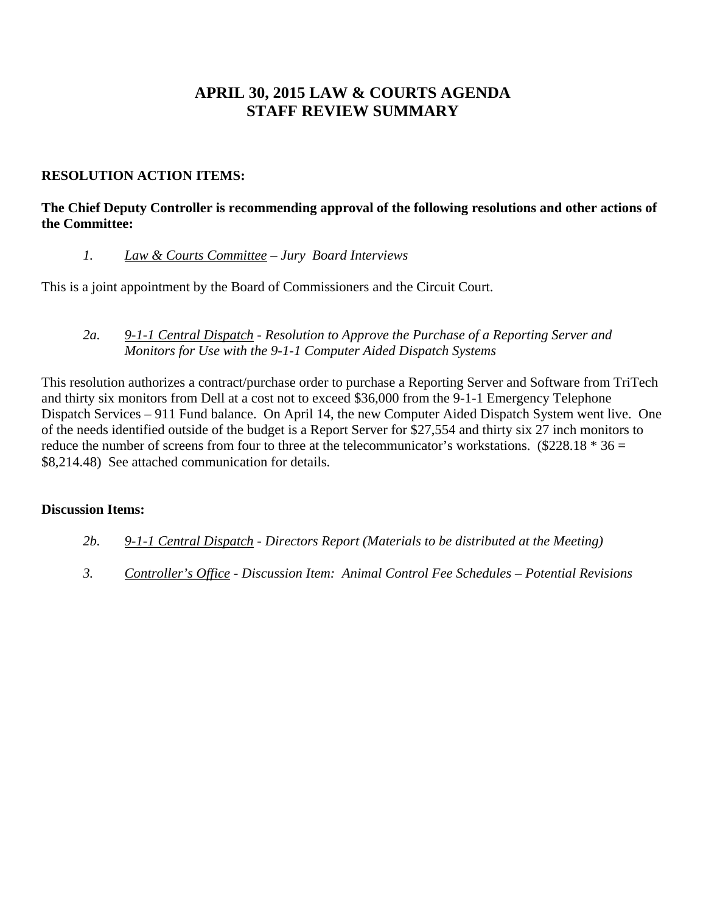# **APRIL 30, 2015 LAW & COURTS AGENDA STAFF REVIEW SUMMARY**

# **RESOLUTION ACTION ITEMS:**

# **The Chief Deputy Controller is recommending approval of the following resolutions and other actions of the Committee:**

# *1. Law & Courts Committee – Jury Board Interviews*

This is a joint appointment by the Board of Commissioners and the Circuit Court.

### *2a. 9-1-1 Central Dispatch - Resolution to Approve the Purchase of a Reporting Server and Monitors for Use with the 9-1-1 Computer Aided Dispatch Systems*

This resolution authorizes a contract/purchase order to purchase a Reporting Server and Software from TriTech and thirty six monitors from Dell at a cost not to exceed \$36,000 from the 9-1-1 Emergency Telephone Dispatch Services – 911 Fund balance. On April 14, the new Computer Aided Dispatch System went live. One of the needs identified outside of the budget is a Report Server for \$27,554 and thirty six 27 inch monitors to reduce the number of screens from four to three at the telecommunicator's workstations. (\$228.18  $*$  36 = \$8,214.48) See attached communication for details.

#### **Discussion Items:**

- *2b. 9-1-1 Central Dispatch Directors Report (Materials to be distributed at the Meeting)*
- *3. Controller's Office Discussion Item: Animal Control Fee Schedules Potential Revisions*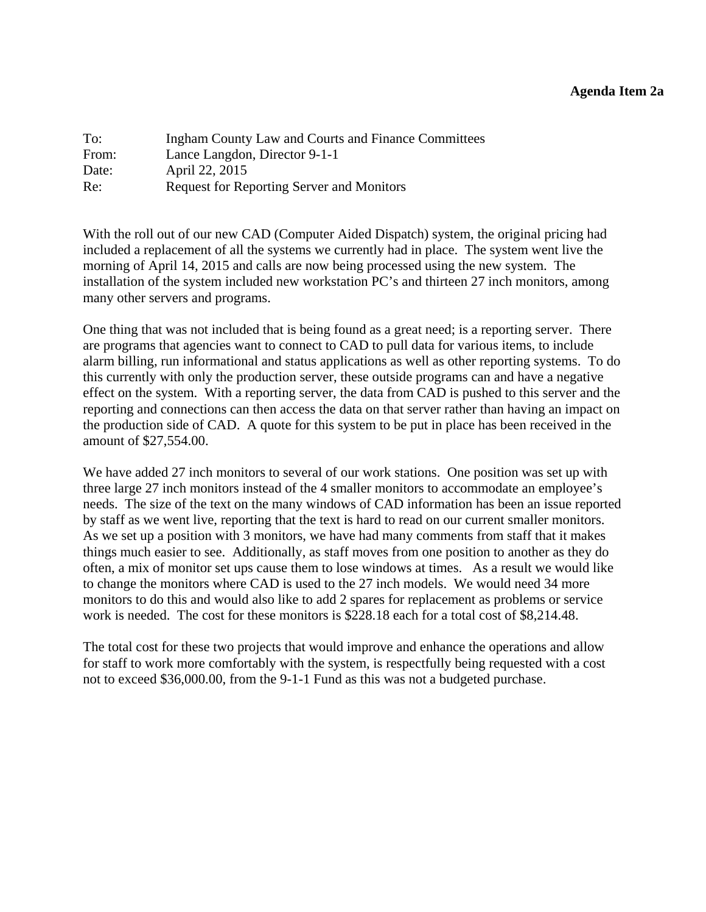#### **Agenda Item 2a**

<span id="page-7-0"></span>

| To:   | Ingham County Law and Courts and Finance Committees |
|-------|-----------------------------------------------------|
| From: | Lance Langdon, Director 9-1-1                       |
| Date: | April 22, 2015                                      |
| Re:   | <b>Request for Reporting Server and Monitors</b>    |

With the roll out of our new CAD (Computer Aided Dispatch) system, the original pricing had included a replacement of all the systems we currently had in place. The system went live the morning of April 14, 2015 and calls are now being processed using the new system. The installation of the system included new workstation PC's and thirteen 27 inch monitors, among many other servers and programs.

One thing that was not included that is being found as a great need; is a reporting server. There are programs that agencies want to connect to CAD to pull data for various items, to include alarm billing, run informational and status applications as well as other reporting systems. To do this currently with only the production server, these outside programs can and have a negative effect on the system. With a reporting server, the data from CAD is pushed to this server and the reporting and connections can then access the data on that server rather than having an impact on the production side of CAD. A quote for this system to be put in place has been received in the amount of \$27,554.00.

We have added 27 inch monitors to several of our work stations. One position was set up with three large 27 inch monitors instead of the 4 smaller monitors to accommodate an employee's needs. The size of the text on the many windows of CAD information has been an issue reported by staff as we went live, reporting that the text is hard to read on our current smaller monitors. As we set up a position with 3 monitors, we have had many comments from staff that it makes things much easier to see. Additionally, as staff moves from one position to another as they do often, a mix of monitor set ups cause them to lose windows at times. As a result we would like to change the monitors where CAD is used to the 27 inch models. We would need 34 more monitors to do this and would also like to add 2 spares for replacement as problems or service work is needed. The cost for these monitors is \$228.18 each for a total cost of \$8,214.48.

The total cost for these two projects that would improve and enhance the operations and allow for staff to work more comfortably with the system, is respectfully being requested with a cost not to exceed \$36,000.00, from the 9-1-1 Fund as this was not a budgeted purchase.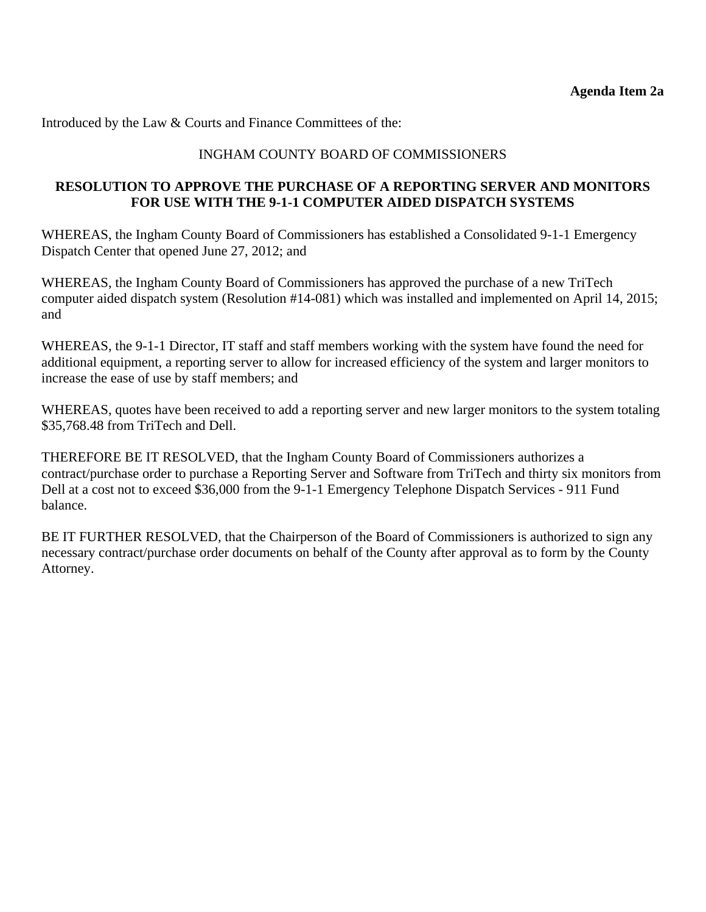Introduced by the Law & Courts and Finance Committees of the:

# INGHAM COUNTY BOARD OF COMMISSIONERS

## **RESOLUTION TO APPROVE THE PURCHASE OF A REPORTING SERVER AND MONITORS FOR USE WITH THE 9-1-1 COMPUTER AIDED DISPATCH SYSTEMS**

WHEREAS, the Ingham County Board of Commissioners has established a Consolidated 9-1-1 Emergency Dispatch Center that opened June 27, 2012; and

WHEREAS, the Ingham County Board of Commissioners has approved the purchase of a new TriTech computer aided dispatch system (Resolution #14-081) which was installed and implemented on April 14, 2015; and

WHEREAS, the 9-1-1 Director, IT staff and staff members working with the system have found the need for additional equipment, a reporting server to allow for increased efficiency of the system and larger monitors to increase the ease of use by staff members; and

WHEREAS, quotes have been received to add a reporting server and new larger monitors to the system totaling \$35,768.48 from TriTech and Dell.

THEREFORE BE IT RESOLVED, that the Ingham County Board of Commissioners authorizes a contract/purchase order to purchase a Reporting Server and Software from TriTech and thirty six monitors from Dell at a cost not to exceed \$36,000 from the 9-1-1 Emergency Telephone Dispatch Services - 911 Fund balance.

BE IT FURTHER RESOLVED, that the Chairperson of the Board of Commissioners is authorized to sign any necessary contract/purchase order documents on behalf of the County after approval as to form by the County Attorney.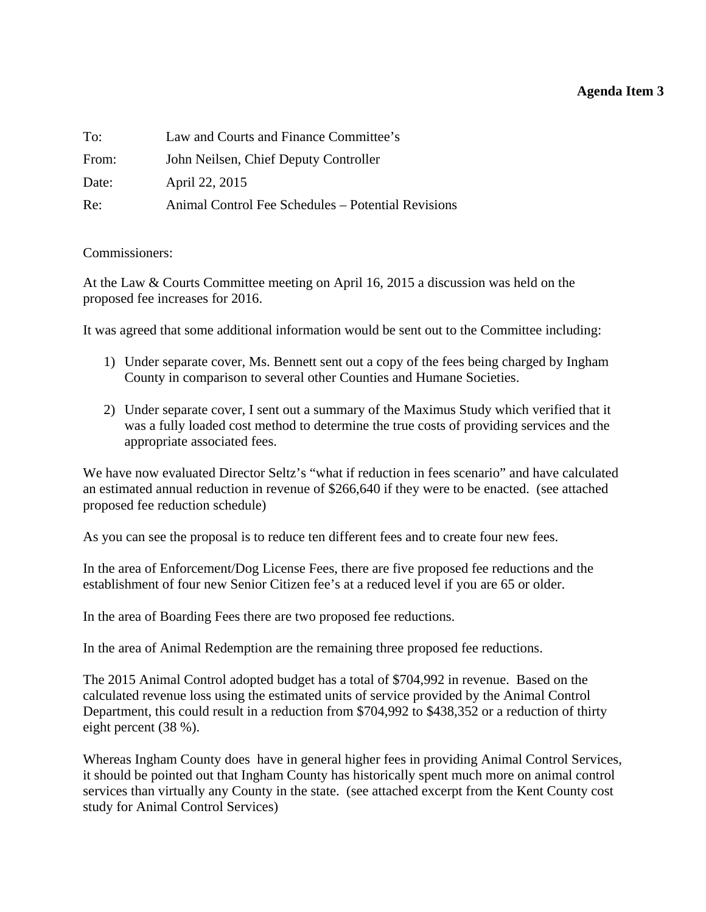# **Agenda Item 3**

<span id="page-9-0"></span>

| To:   | Law and Courts and Finance Committee's             |
|-------|----------------------------------------------------|
| From: | John Neilsen, Chief Deputy Controller              |
| Date: | April 22, 2015                                     |
| Re:   | Animal Control Fee Schedules – Potential Revisions |

#### Commissioners:

At the Law & Courts Committee meeting on April 16, 2015 a discussion was held on the proposed fee increases for 2016.

It was agreed that some additional information would be sent out to the Committee including:

- 1) Under separate cover, Ms. Bennett sent out a copy of the fees being charged by Ingham County in comparison to several other Counties and Humane Societies.
- 2) Under separate cover, I sent out a summary of the Maximus Study which verified that it was a fully loaded cost method to determine the true costs of providing services and the appropriate associated fees.

We have now evaluated Director Seltz's "what if reduction in fees scenario" and have calculated an estimated annual reduction in revenue of \$266,640 if they were to be enacted. (see attached proposed fee reduction schedule)

As you can see the proposal is to reduce ten different fees and to create four new fees.

In the area of Enforcement/Dog License Fees, there are five proposed fee reductions and the establishment of four new Senior Citizen fee's at a reduced level if you are 65 or older.

In the area of Boarding Fees there are two proposed fee reductions.

In the area of Animal Redemption are the remaining three proposed fee reductions.

The 2015 Animal Control adopted budget has a total of \$704,992 in revenue. Based on the calculated revenue loss using the estimated units of service provided by the Animal Control Department, this could result in a reduction from \$704,992 to \$438,352 or a reduction of thirty eight percent (38 %).

Whereas Ingham County does have in general higher fees in providing Animal Control Services, it should be pointed out that Ingham County has historically spent much more on animal control services than virtually any County in the state. (see attached excerpt from the Kent County cost study for Animal Control Services)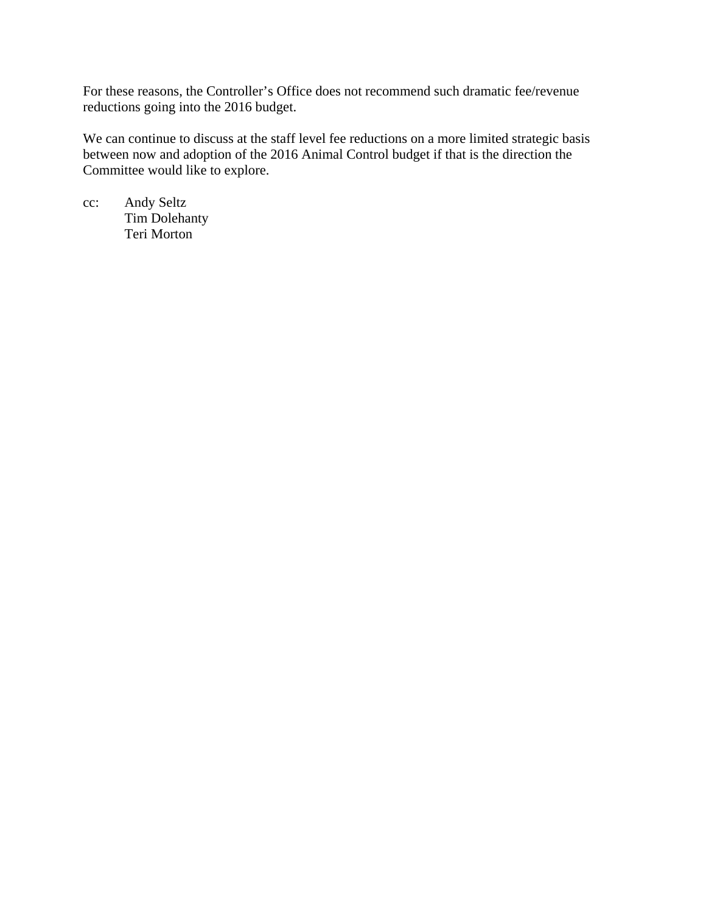For these reasons, the Controller's Office does not recommend such dramatic fee/revenue reductions going into the 2016 budget.

We can continue to discuss at the staff level fee reductions on a more limited strategic basis between now and adoption of the 2016 Animal Control budget if that is the direction the Committee would like to explore.

cc: Andy Seltz Tim Dolehanty Teri Morton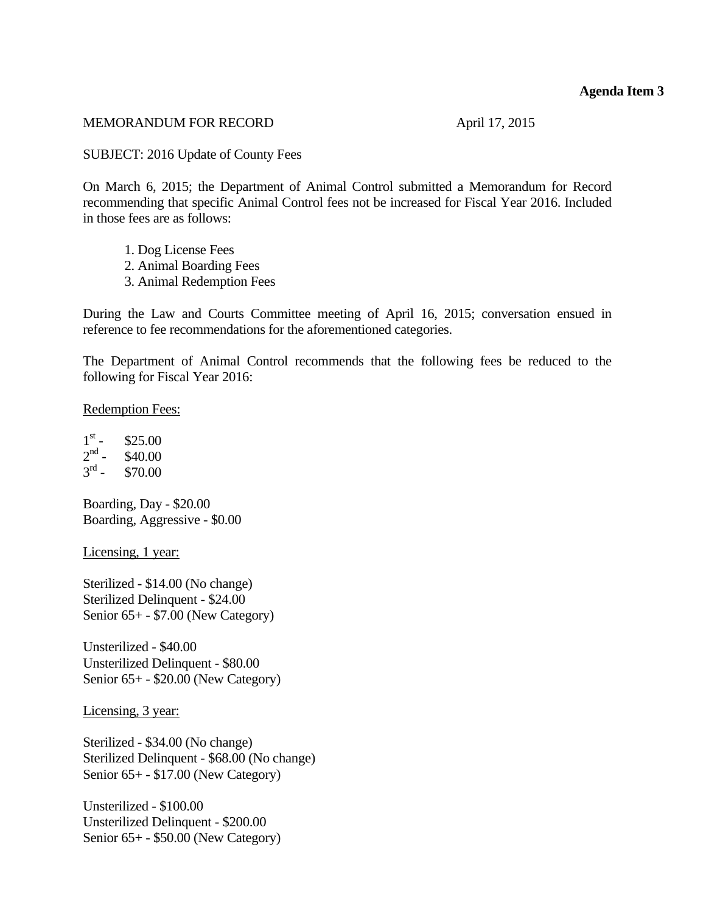#### **Agenda Item 3**

#### MEMORANDUM FOR RECORD April 17, 2015

SUBJECT: 2016 Update of County Fees

On March 6, 2015; the Department of Animal Control submitted a Memorandum for Record recommending that specific Animal Control fees not be increased for Fiscal Year 2016. Included in those fees are as follows:

- 1. Dog License Fees
- 2. Animal Boarding Fees
- 3. Animal Redemption Fees

During the Law and Courts Committee meeting of April 16, 2015; conversation ensued in reference to fee recommendations for the aforementioned categories.

The Department of Animal Control recommends that the following fees be reduced to the following for Fiscal Year 2016:

Redemption Fees:

 $1<sup>st</sup>$  - \$25.00<br>  $2<sup>nd</sup>$  - \$40.00  $2<sup>nd</sup>$  - \$40.00<br> $3<sup>rd</sup>$  - \$70.00  $$70.00$ 

Boarding, Day - \$20.00 Boarding, Aggressive - \$0.00

Licensing, 1 year:

Sterilized - \$14.00 (No change) Sterilized Delinquent - \$24.00 Senior 65+ - \$7.00 (New Category)

Unsterilized - \$40.00 Unsterilized Delinquent - \$80.00 Senior 65+ - \$20.00 (New Category)

Licensing, 3 year:

Sterilized - \$34.00 (No change) Sterilized Delinquent - \$68.00 (No change) Senior 65+ - \$17.00 (New Category)

Unsterilized - \$100.00 Unsterilized Delinquent - \$200.00 Senior 65+ - \$50.00 (New Category)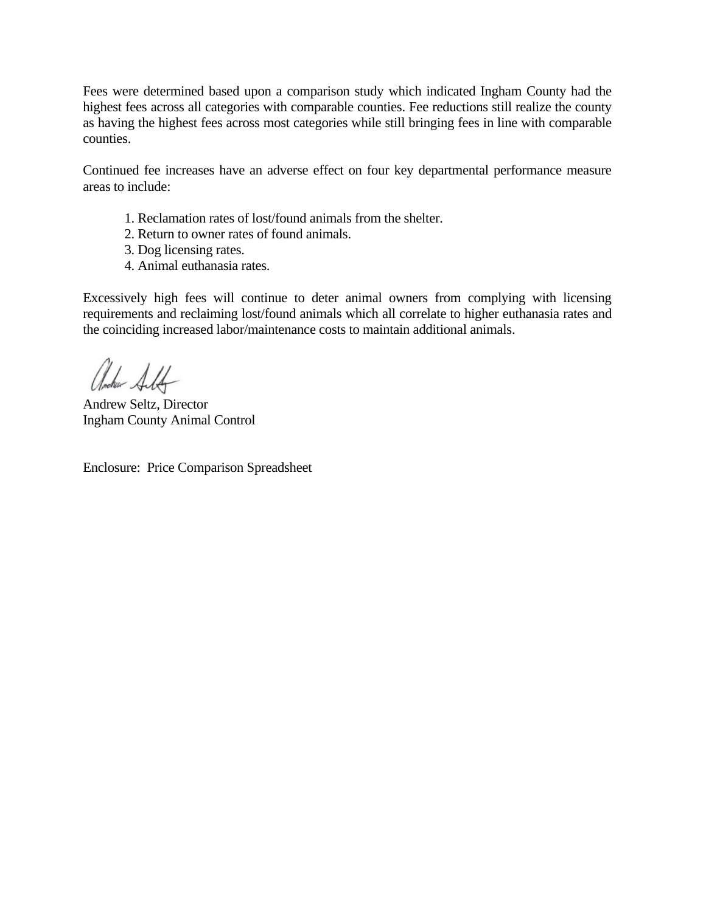Fees were determined based upon a comparison study which indicated Ingham County had the highest fees across all categories with comparable counties. Fee reductions still realize the county as having the highest fees across most categories while still bringing fees in line with comparable counties.

Continued fee increases have an adverse effect on four key departmental performance measure areas to include:

- 1. Reclamation rates of lost/found animals from the shelter.
- 2. Return to owner rates of found animals.
- 3. Dog licensing rates.
- 4. Animal euthanasia rates.

Excessively high fees will continue to deter animal owners from complying with licensing requirements and reclaiming lost/found animals which all correlate to higher euthanasia rates and the coinciding increased labor/maintenance costs to maintain additional animals.

Ancher Alt

Andrew Seltz, Director Ingham County Animal Control

Enclosure: Price Comparison Spreadsheet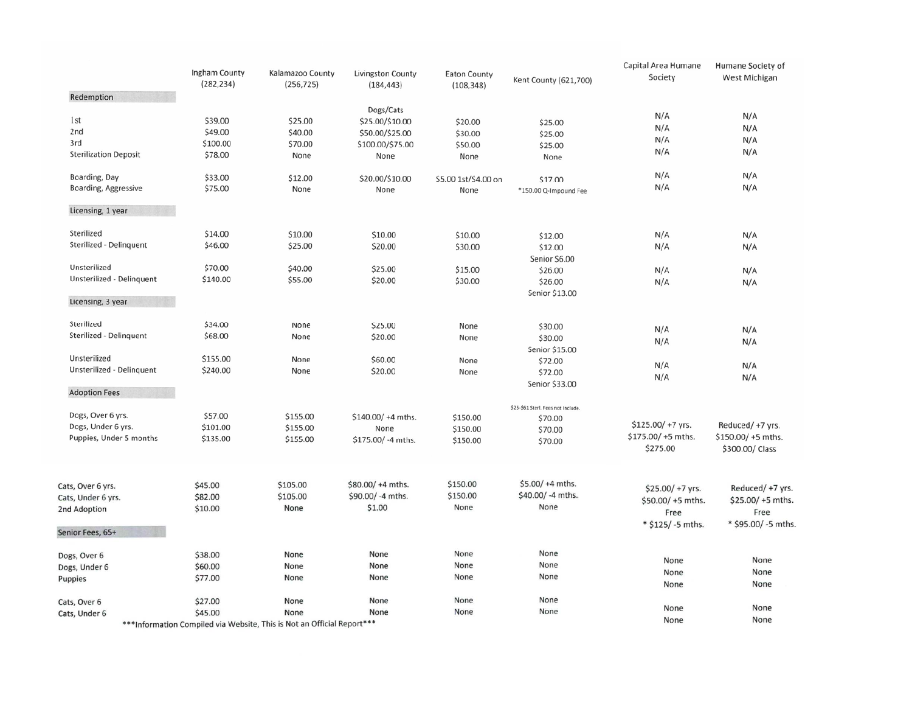|                              | Ingham County<br>(282, 234) | Kalamazoo County<br>(256, 725)                                          | Livingston County<br>(184, 443) | <b>Eaton County</b><br>(108, 348) | Kent County (621,700)              | Capital Area Humane<br>Society | Humane Society of<br>West Michigan |
|------------------------------|-----------------------------|-------------------------------------------------------------------------|---------------------------------|-----------------------------------|------------------------------------|--------------------------------|------------------------------------|
| Redemption                   |                             |                                                                         |                                 |                                   |                                    |                                |                                    |
| 1st                          | \$39.00                     | \$25.00                                                                 | Dogs/Cats                       |                                   |                                    | N/A                            | N/A                                |
| 2nd                          | \$49.00                     | \$40.00                                                                 | \$25.00/\$10.00                 | \$20.00                           | \$25.00                            | N/A                            | N/A                                |
| 3rd                          | \$100.00                    | \$70.00                                                                 | \$50.00/\$25.00                 | \$30.00                           | \$25.00                            | N/A                            | N/A                                |
| <b>Sterilization Deposit</b> | \$78.00                     | None                                                                    | \$100.00/\$75.00                | \$50.00                           | \$25.00                            | N/A                            | N/A                                |
|                              |                             |                                                                         | None                            | None                              | None                               |                                |                                    |
| Boarding, Day                | \$33.00                     | \$12.00                                                                 | \$20.00/\$10.00                 | \$5.00 1st/\$4.00 on              | \$17.00                            | N/A                            | N/A                                |
| <b>Boarding, Aggressive</b>  | \$75.00                     | None                                                                    | None                            | None                              | *150.00 Q-Impound Fee              | N/A                            | N/A                                |
| Licensing, 1 year            |                             |                                                                         |                                 |                                   |                                    |                                |                                    |
| Sterilized                   |                             |                                                                         |                                 |                                   |                                    |                                |                                    |
|                              | \$14.00                     | \$10.00                                                                 | \$10.00                         | \$10.00                           | \$12.00                            | N/A                            | N/A                                |
| Sterilized - Delinquent      | \$46.00                     | \$25.00                                                                 | \$20.00                         | \$30.00                           | \$12.00                            | N/A                            | N/A                                |
| Unsterilized                 | \$70.00                     |                                                                         |                                 |                                   | Senior \$6.00                      |                                |                                    |
| Unsterilized - Delinquent    | \$140.00                    | \$40.00                                                                 | \$25.00                         | \$15.00                           | \$26.00                            | N/A                            | N/A                                |
|                              |                             | \$55.00                                                                 | \$20.00                         | \$30.00                           | \$26.00                            | N/A                            | N/A                                |
| Licensing, 3 year            |                             |                                                                         |                                 |                                   | Senior \$13.00                     |                                |                                    |
| Sterilized                   | \$34.00                     | None                                                                    | \$25.00                         | None                              | \$30.00                            |                                |                                    |
| Sterilized - Delinquent      | \$68.00                     | None                                                                    | \$20.00                         | None                              | \$30.00                            | N/A                            | N/A                                |
|                              |                             |                                                                         |                                 |                                   | Senior \$15.00                     | N/A                            | N/A                                |
| Unsterilized                 | \$155.00                    | None                                                                    | \$60.00                         | None                              | \$72.00                            |                                |                                    |
| Unsterilized - Delinquent    | \$240.00                    | None                                                                    | \$20.00                         | None                              | \$72.00                            | N/A                            | N/A                                |
|                              |                             |                                                                         |                                 |                                   | Senior \$33.00                     | N/A                            | N/A                                |
| <b>Adoption Fees</b>         |                             |                                                                         |                                 |                                   |                                    |                                |                                    |
|                              |                             |                                                                         |                                 |                                   | \$25-\$61 Sterl. Fees not Include. |                                |                                    |
| Dogs, Over 6 yrs.            | \$57.00                     | \$155.00                                                                | $$140.00/+4$ mths.              | \$150.00                          | \$70.00                            |                                |                                    |
| Dogs, Under 6 yrs.           | \$101.00                    | \$155.00                                                                | None                            | \$150.00                          | \$70.00                            | $$125.00/+7$ yrs.              | Reduced/+7 yrs.                    |
| Puppies, Under 5 months      | \$135.00                    | \$155.00                                                                | \$175.00/ -4 mths.              | \$150.00                          | \$70.00                            | $$175.00/+5$ mths.             | $$150.00/+5$ mths.                 |
|                              |                             |                                                                         |                                 |                                   |                                    | \$275.00                       | \$300.00/ Class                    |
| Cats, Over 6 yrs.            | \$45.00                     | \$105.00                                                                | \$80.00/ +4 mths.               | \$150.00                          | \$5.00/ +4 mths.                   |                                |                                    |
| Cats, Under 6 yrs.           | \$82.00                     | \$105.00                                                                | \$90.00/-4 mths.                | \$150.00                          | \$40.00/-4 mths.                   | $$25.00/+7$ yrs.               | Reduced/+7 yrs.                    |
| 2nd Adoption                 | \$10.00                     | None                                                                    | \$1.00                          | None                              | None                               | \$50.00/+5 mths.               | $$25.00/ + 5$ mths.                |
|                              |                             |                                                                         |                                 |                                   |                                    | Free                           | Free                               |
| Senior Fees, 65+             |                             |                                                                         |                                 |                                   |                                    | * \$125/-5 mths.               | * \$95.00/ -5 mths.                |
| Dogs, Over 6                 | \$38.00                     | None                                                                    | None                            | None                              | None                               |                                | None                               |
| Dogs, Under 6                | \$60.00                     | None                                                                    | None                            | None                              | None                               | None                           |                                    |
| Puppies                      | \$77.00                     | None                                                                    | None                            | None                              | None                               | None<br>None                   | None<br>None                       |
|                              |                             |                                                                         |                                 |                                   |                                    |                                |                                    |
| Cats, Over 6                 | \$27.00                     | None                                                                    | None                            | None                              | None                               | None                           | None                               |
| Cats, Under 6                | \$45.00                     | None                                                                    | None                            | None                              | None                               | None                           | None                               |
|                              |                             | *** Information Compiled via Website, This is Not an Official Report*** |                                 |                                   |                                    |                                |                                    |

\*\*\* Information Compiled via Website, This is Not an Official Report\*\*\*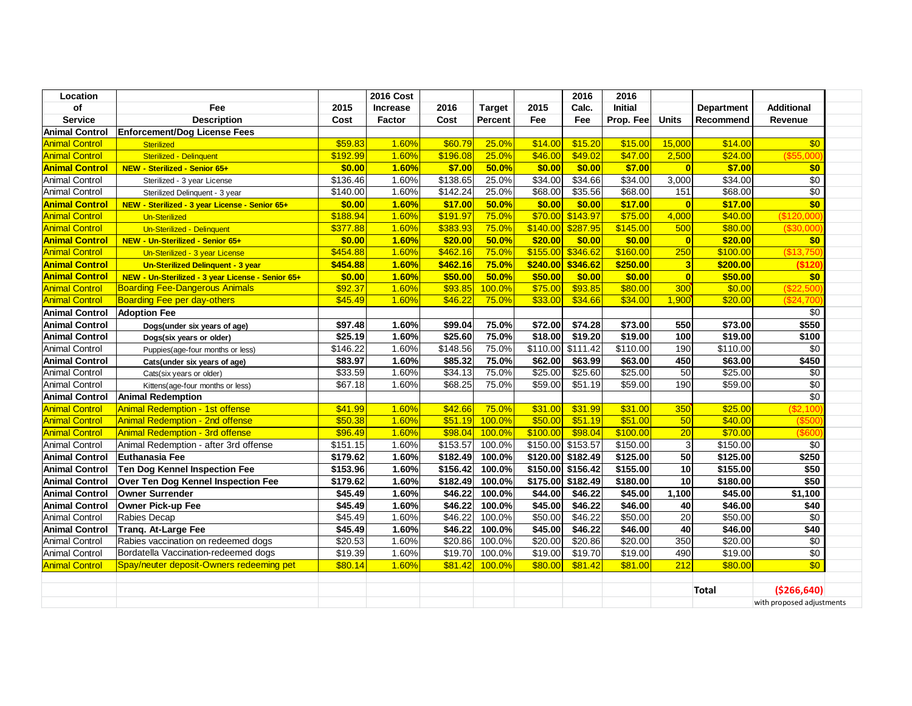| Location              |                                                   | <b>2016 Cost</b> |                 |                     |               | 2016     | 2016              |                |                |                   |                           |  |
|-----------------------|---------------------------------------------------|------------------|-----------------|---------------------|---------------|----------|-------------------|----------------|----------------|-------------------|---------------------------|--|
| of                    | Fee                                               | 2015             | <b>Increase</b> | 2016                | <b>Target</b> | 2015     | Calc.             | <b>Initial</b> |                | <b>Department</b> | <b>Additional</b>         |  |
| <b>Service</b>        | <b>Description</b>                                | Cost             | Factor          | Cost                | Percent       | Fee      | Fee               | Prop. Fee      | <b>Units</b>   | <b>Recommend</b>  | Revenue                   |  |
| <b>Animal Control</b> | <b>Enforcement/Dog License Fees</b>               |                  |                 |                     |               |          |                   |                |                |                   |                           |  |
| <b>Animal Control</b> | <b>Sterilized</b>                                 | \$59.83          | 1.60%           | \$60.79             | 25.0%         | \$14.00  | \$15.20           | \$15.00        | 15,000         | \$14.00           | \$0                       |  |
| <b>Animal Control</b> | Sterilized - Delinquent                           | \$192.99         | 1.60%           | \$196.08            | 25.0%         | \$46.00  | \$49.02           | \$47.00        | 2,500          | \$24.00           | (\$55,000                 |  |
| <b>Animal Control</b> | NEW - Sterilized - Senior 65+                     | \$0.00           | 1.60%           | \$7.00              | 50.0%         | \$0.00   | \$0.00            | \$7.00         | $\overline{0}$ | \$7.00            | \$0                       |  |
| <b>Animal Control</b> | Sterilized - 3 year License                       | \$136.46         | 1.60%           | \$138.65            | 25.0%         | \$34.00  | \$34.66           | \$34.00        | 3,000          | \$34.00           | \$0                       |  |
| <b>Animal Control</b> | Sterilized Delinquent - 3 year                    | \$140.00         | 1.60%           | \$142.24            | 25.0%         | \$68.00  | \$35.56           | \$68.00        | 151            | \$68.00           | $\overline{50}$           |  |
| <b>Animal Control</b> | NEW - Sterilized - 3 year License - Senior 65+    | \$0.00           | 1.60%           | \$17.00             | 50.0%         | \$0.00   | \$0.00            | \$17.00        | $\overline{0}$ | \$17.00           | $\overline{50}$           |  |
| <b>Animal Control</b> | Un-Sterilized                                     | \$188.94         | 1.60%           | \$191.97            | 75.0%         | \$70.00  | \$143.97          | \$75.00        | 4,000          | \$40.00           | (\$120,000                |  |
| <b>Animal Control</b> | Un-Sterilized - Delinquent                        | \$377.88         | 1.60%           | \$383.93            | 75.0%         | \$140.00 | \$287.95          | \$145.00       | 500            | \$80.00           | (\$30,000                 |  |
| <b>Animal Control</b> | NEW - Un-Sterilized - Senior 65+                  | \$0.00           | 1.60%           | \$20.00             | 50.0%         | \$20.00  | \$0.00            | \$0.00         | 0              | \$20.00           | \$0                       |  |
| <b>Animal Control</b> | Un-Sterilized - 3 year License                    | \$454.88         | 1.60%           | \$462.16            | 75.0%         | \$155.00 | \$346.62          | \$160.00       | 250            | \$100.00          | (\$13,750                 |  |
| <b>Animal Control</b> | Un-Sterilized Delinquent - 3 year                 | \$454.88         | 1.60%           | \$462.16            | 75.0%         | \$240.00 | \$346.62          | \$250.00       | 3 <sup>l</sup> | \$200.00          | (\$120                    |  |
| <b>Animal Control</b> | NEW - Un-Sterilized - 3 year License - Senior 65+ | \$0.00           | 1.60%           | \$50.00             | 50.0%         | \$50.00  | \$0.00            | \$0.00         | 0              | \$50.00           | \$0                       |  |
| <b>Animal Control</b> | <b>Boarding Fee-Dangerous Animals</b>             | \$92.37          | 1.60%           | \$93.85             | 100.0%        | \$75.00  | \$93.85           | \$80.00        | 300            | \$0.00            | (\$22,500                 |  |
| <b>Animal Control</b> | <b>Boarding Fee per day-others</b>                | \$45.49          | 1.60%           | \$46.22             | 75.0%         | \$33.00  | \$34.66           | \$34.00        | 1,900          | \$20.00           | (\$24,700                 |  |
| <b>Animal Control</b> | <b>Adoption Fee</b>                               |                  |                 |                     |               |          |                   |                |                |                   | \$0                       |  |
| <b>Animal Control</b> | Dogs(under six years of age)                      | \$97.48          | 1.60%           | \$99.04             | 75.0%         | \$72.00  | \$74.28           | \$73.00        | 550            | \$73.00           | \$550                     |  |
| <b>Animal Control</b> | Dogs(six years or older)                          | \$25.19          | 1.60%           | \$25.60             | 75.0%         | \$18.00  | \$19.20           | \$19.00        | 100            | \$19.00           | \$100                     |  |
| <b>Animal Control</b> | Puppies(age-four months or less)                  | \$146.22         | 1.60%           | \$148.56            | 75.0%         | \$110.00 | \$111.42          | \$110.00       | 190            | \$110.00          | \$0                       |  |
| <b>Animal Control</b> | Cats(under six years of age)                      | \$83.97          | 1.60%           | $\overline{$85.32}$ | 75.0%         | \$62.00  | \$63.99           | \$63.00        | 450            | \$63.00           | \$450                     |  |
| <b>Animal Control</b> | Cats(six years or older)                          | \$33.59          | 1.60%           | \$34.13             | 75.0%         | \$25.00  | \$25.60           | \$25.00        | 50             | \$25.00           | \$0                       |  |
| <b>Animal Control</b> | Kittens(age-four months or less)                  | \$67.18          | 1.60%           | \$68.25             | 75.0%         | \$59.00  | \$51.19           | \$59.00        | 190            | \$59.00           | \$0                       |  |
| <b>Animal Control</b> | <b>Animal Redemption</b>                          |                  |                 |                     |               |          |                   |                |                |                   | $\sqrt{6}$                |  |
| <b>Animal Control</b> | <b>Animal Redemption - 1st offense</b>            | \$41.99          | 1.60%           | \$42.66             | 75.0%         | \$31.00  | \$31.99           | \$31.00        | 350            | \$25.00           | (S2, 100)                 |  |
| <b>Animal Control</b> | <b>Animal Redemption - 2nd offense</b>            | \$50.38          | 1.60%           | \$51.19             | 100.0%        | \$50.00  | \$51.19           | \$51.00        | 50             | \$40.00           | $($ \$50 $($              |  |
| <b>Animal Control</b> | <b>Animal Redemption - 3rd offense</b>            | \$96.49          | 1.60%           | \$98.04             | 100.0%        | \$100.00 | \$98.04           | \$100.00       | 20             | \$70.00           | (\$600                    |  |
| <b>Animal Control</b> | Animal Redemption - after 3rd offense             | \$151.15         | 1.60%           | \$153.57            | 100.0%        | \$150.00 | \$153.57          | \$150.00       | 3              | \$150.00          | \$0                       |  |
| <b>Animal Control</b> | <b>Euthanasia Fee</b>                             | \$179.62         | 1.60%           | \$182.49            | 100.0%        |          | \$120.00 \$182.49 | \$125.00       | 50             | \$125.00          | \$250                     |  |
| <b>Animal Control</b> | <b>Ten Dog Kennel Inspection Fee</b>              | \$153.96         | 1.60%           | \$156.42            | 100.0%        |          | \$150.00 \$156.42 | \$155.00       | 10             | \$155.00          | \$50                      |  |
| <b>Animal Control</b> | Over Ten Dog Kennel Inspection Fee                | \$179.62         | 1.60%           | \$182.49            | 100.0%        |          | \$175.00 \$182.49 | \$180.00       | 10             | \$180.00          | \$50                      |  |
| <b>Animal Control</b> | <b>Owner Surrender</b>                            | \$45.49          | 1.60%           | \$46.22             | 100.0%        | \$44.00  | \$46.22           | \$45.00        | 1,100          | \$45.00           | \$1,100                   |  |
| <b>Animal Control</b> | Owner Pick-up Fee                                 | \$45.49          | 1.60%           | \$46.22             | 100.0%        | \$45.00  | \$46.22           | \$46.00        | 40             | \$46.00           | \$40                      |  |
| <b>Animal Control</b> | Rabies Decap                                      | \$45.49          | 1.60%           | \$46.22             | 100.0%        | \$50.00  | \$46.22           | \$50.00        | 20             | \$50.00           | \$0                       |  |
| <b>Animal Control</b> | Tranq. At-Large Fee                               | \$45.49          | 1.60%           | \$46.22             | 100.0%        | \$45.00  | \$46.22           | \$46.00        | 40             | \$46.00           | \$40                      |  |
| <b>Animal Control</b> | Rabies vaccination on redeemed dogs               | \$20.53          | 1.60%           | \$20.86             | 100.0%        | \$20.00  | \$20.86           | \$20.00        | 350            | \$20.00           | \$0                       |  |
| <b>Animal Control</b> | Bordatella Vaccination-redeemed dogs              | \$19.39          | 1.60%           | \$19.70             | 100.0%        | \$19.00  | \$19.70           | \$19.00        | 490            | \$19.00           | $\overline{50}$           |  |
| <b>Animal Control</b> | Spay/neuter deposit-Owners redeeming pet          | \$80.14          | 1.60%           | \$81.42             | 100.0%        | \$80.00  | \$81.42           | \$81.00        | 212            | \$80.00           | $\overline{60}$           |  |
|                       |                                                   |                  |                 |                     |               |          |                   |                |                |                   |                           |  |
|                       |                                                   |                  |                 |                     |               |          |                   |                |                | <b>Total</b>      | ( \$266, 640]             |  |
|                       |                                                   |                  |                 |                     |               |          |                   |                |                |                   | with proposed adjustments |  |